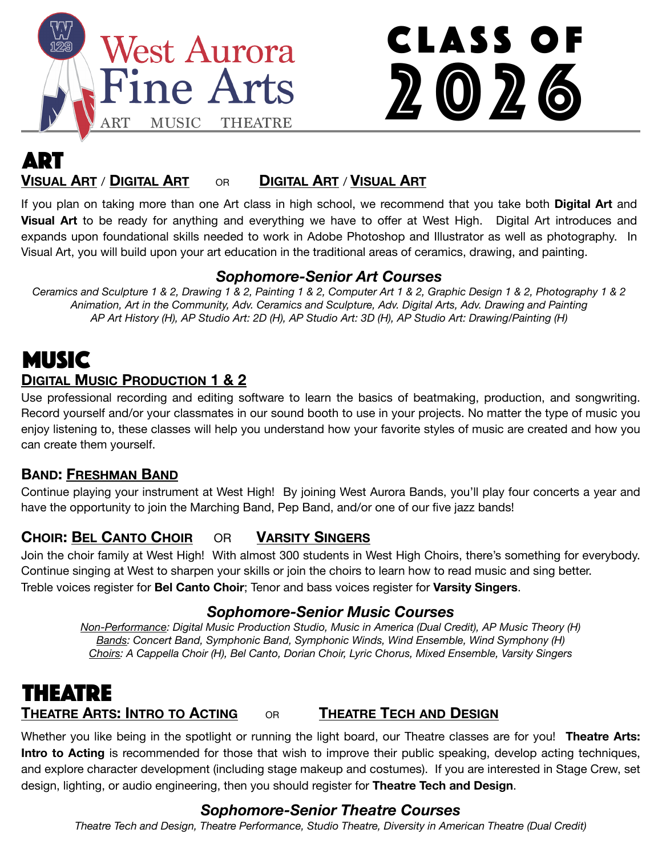

# Class of 2026

## **VISUAL ART** / **DIGITAL ART** OR **DIGITAL ART** / **VISUAL ART** ART

If you plan on taking more than one Art class in high school, we recommend that you take both **Digital Art** and **Visual Art** to be ready for anything and everything we have to offer at West High. Digital Art introduces and expands upon foundational skills needed to work in Adobe Photoshop and Illustrator as well as photography. In Visual Art, you will build upon your art education in the traditional areas of ceramics, drawing, and painting.

#### *Sophomore-Senior Art Courses*

*Ceramics and Sculpture 1 & 2, Drawing 1 & 2, Painting 1 & 2, Computer Art 1 & 2, Graphic Design 1 & 2, Photography 1 & 2 Animation, Art in the Community, Adv. Ceramics and Sculpture, Adv. Digital Arts, Adv. Drawing and Painting AP Art History (H), AP Studio Art: 2D (H), AP Studio Art: 3D (H), AP Studio Art: Drawing/Painting (H)*

### **DIGITAL MUSIC PRODUCTION 1 & 2 MUSIC**

Use professional recording and editing software to learn the basics of beatmaking, production, and songwriting. Record yourself and/or your classmates in our sound booth to use in your projects. No matter the type of music you enjoy listening to, these classes will help you understand how your favorite styles of music are created and how you can create them yourself.

#### **BAND: FRESHMAN BAND**

Continue playing your instrument at West High! By joining West Aurora Bands, you'll play four concerts a year and have the opportunity to join the Marching Band, Pep Band, and/or one of our five jazz bands!

#### **CHOIR: BEL CANTO CHOIR** OR **VARSITY SINGERS**

Join the choir family at West High! With almost 300 students in West High Choirs, there's something for everybody. Continue singing at West to sharpen your skills or join the choirs to learn how to read music and sing better. Treble voices register for **Bel Canto Choir**; Tenor and bass voices register for **Varsity Singers**.

#### *Sophomore-Senior Music Courses*

*Non-Performance: Digital Music Production Studio, Music in America (Dual Credit), AP Music Theory (H) Bands: Concert Band, Symphonic Band, Symphonic Winds, Wind Ensemble, Wind Symphony (H) Choirs: A Cappella Choir (H), Bel Canto, Dorian Choir, Lyric Chorus, Mixed Ensemble, Varsity Singers*

# THEATRE

#### **THEATRE ARTS: INTRO TO ACTING OR THEATRE TECH AND DESIGN**

Whether you like being in the spotlight or running the light board, our Theatre classes are for you! **Theatre Arts: Intro to Acting** is recommended for those that wish to improve their public speaking, develop acting techniques, and explore character development (including stage makeup and costumes). If you are interested in Stage Crew, set design, lighting, or audio engineering, then you should register for **Theatre Tech and Design**.

#### *Sophomore-Senior Theatre Courses*

*Theatre Tech and Design, Theatre Performance, Studio Theatre, Diversity in American Theatre (Dual Credit)*